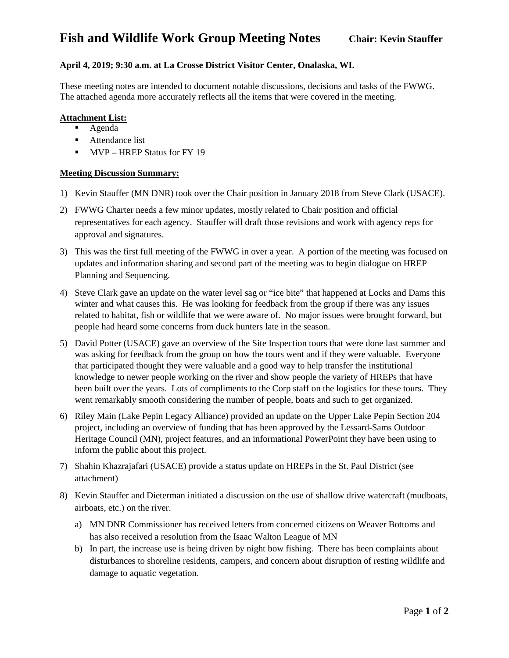## **April 4, 2019; 9:30 a.m. at La Crosse District Visitor Center, Onalaska, WI.**

These meeting notes are intended to document notable discussions, decisions and tasks of the FWWG. The attached agenda more accurately reflects all the items that were covered in the meeting.

### **Attachment List:**

- Agenda
- Attendance list
- **MVP** HREP Status for FY 19

### **Meeting Discussion Summary:**

- 1) Kevin Stauffer (MN DNR) took over the Chair position in January 2018 from Steve Clark (USACE).
- 2) FWWG Charter needs a few minor updates, mostly related to Chair position and official representatives for each agency. Stauffer will draft those revisions and work with agency reps for approval and signatures.
- 3) This was the first full meeting of the FWWG in over a year. A portion of the meeting was focused on updates and information sharing and second part of the meeting was to begin dialogue on HREP Planning and Sequencing.
- 4) Steve Clark gave an update on the water level sag or "ice bite" that happened at Locks and Dams this winter and what causes this. He was looking for feedback from the group if there was any issues related to habitat, fish or wildlife that we were aware of. No major issues were brought forward, but people had heard some concerns from duck hunters late in the season.
- 5) David Potter (USACE) gave an overview of the Site Inspection tours that were done last summer and was asking for feedback from the group on how the tours went and if they were valuable. Everyone that participated thought they were valuable and a good way to help transfer the institutional knowledge to newer people working on the river and show people the variety of HREPs that have been built over the years. Lots of compliments to the Corp staff on the logistics for these tours. They went remarkably smooth considering the number of people, boats and such to get organized.
- 6) Riley Main (Lake Pepin Legacy Alliance) provided an update on the Upper Lake Pepin Section 204 project, including an overview of funding that has been approved by the Lessard-Sams Outdoor Heritage Council (MN), project features, and an informational PowerPoint they have been using to inform the public about this project.
- 7) Shahin Khazrajafari (USACE) provide a status update on HREPs in the St. Paul District (see attachment)
- 8) Kevin Stauffer and Dieterman initiated a discussion on the use of shallow drive watercraft (mudboats, airboats, etc.) on the river.
	- a) MN DNR Commissioner has received letters from concerned citizens on Weaver Bottoms and has also received a resolution from the Isaac Walton League of MN
	- b) In part, the increase use is being driven by night bow fishing. There has been complaints about disturbances to shoreline residents, campers, and concern about disruption of resting wildlife and damage to aquatic vegetation.